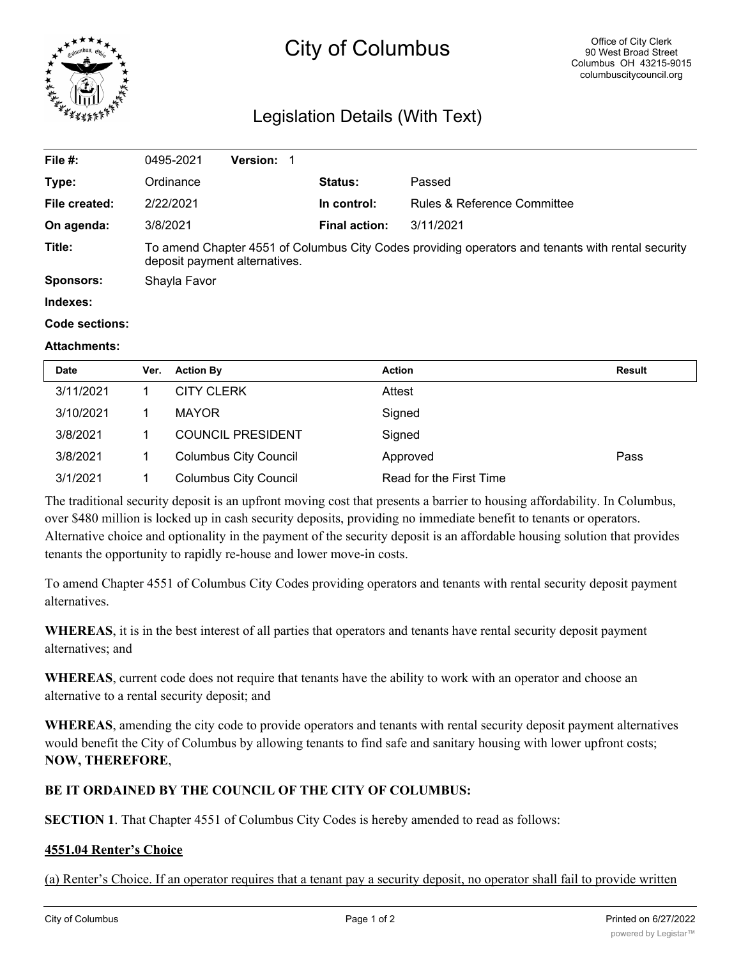

# City of Columbus

# Legislation Details (With Text)

| File $#$ :            | 0495-2021                                                                                                                          | Version: 1 |  |                      |                             |  |
|-----------------------|------------------------------------------------------------------------------------------------------------------------------------|------------|--|----------------------|-----------------------------|--|
| Type:                 | Ordinance                                                                                                                          |            |  | <b>Status:</b>       | Passed                      |  |
| File created:         | 2/22/2021                                                                                                                          |            |  | In control:          | Rules & Reference Committee |  |
| On agenda:            | 3/8/2021                                                                                                                           |            |  | <b>Final action:</b> | 3/11/2021                   |  |
| Title:                | To amend Chapter 4551 of Columbus City Codes providing operators and tenants with rental security<br>deposit payment alternatives. |            |  |                      |                             |  |
| <b>Sponsors:</b>      | Shayla Favor                                                                                                                       |            |  |                      |                             |  |
| Indexes:              |                                                                                                                                    |            |  |                      |                             |  |
| <b>Code sections:</b> |                                                                                                                                    |            |  |                      |                             |  |

#### **Attachments:**

| <b>Date</b> | Ver. | <b>Action By</b>             | <b>Action</b>           | Result |
|-------------|------|------------------------------|-------------------------|--------|
| 3/11/2021   |      | <b>CITY CLERK</b>            | Attest                  |        |
| 3/10/2021   |      | <b>MAYOR</b>                 | Signed                  |        |
| 3/8/2021    |      | <b>COUNCIL PRESIDENT</b>     | Signed                  |        |
| 3/8/2021    |      | <b>Columbus City Council</b> | Approved                | Pass   |
| 3/1/2021    |      | <b>Columbus City Council</b> | Read for the First Time |        |

The traditional security deposit is an upfront moving cost that presents a barrier to housing affordability. In Columbus, over \$480 million is locked up in cash security deposits, providing no immediate benefit to tenants or operators. Alternative choice and optionality in the payment of the security deposit is an affordable housing solution that provides tenants the opportunity to rapidly re-house and lower move-in costs.

To amend Chapter 4551 of Columbus City Codes providing operators and tenants with rental security deposit payment alternatives.

**WHEREAS**, it is in the best interest of all parties that operators and tenants have rental security deposit payment alternatives; and

**WHEREAS**, current code does not require that tenants have the ability to work with an operator and choose an alternative to a rental security deposit; and

**WHEREAS**, amending the city code to provide operators and tenants with rental security deposit payment alternatives would benefit the City of Columbus by allowing tenants to find safe and sanitary housing with lower upfront costs; **NOW, THEREFORE**,

# **BE IT ORDAINED BY THE COUNCIL OF THE CITY OF COLUMBUS:**

**SECTION 1**. That Chapter 4551 of Columbus City Codes is hereby amended to read as follows:

## **4551.04 Renter's Choice**

(a) Renter's Choice. If an operator requires that a tenant pay a security deposit, no operator shall fail to provide written